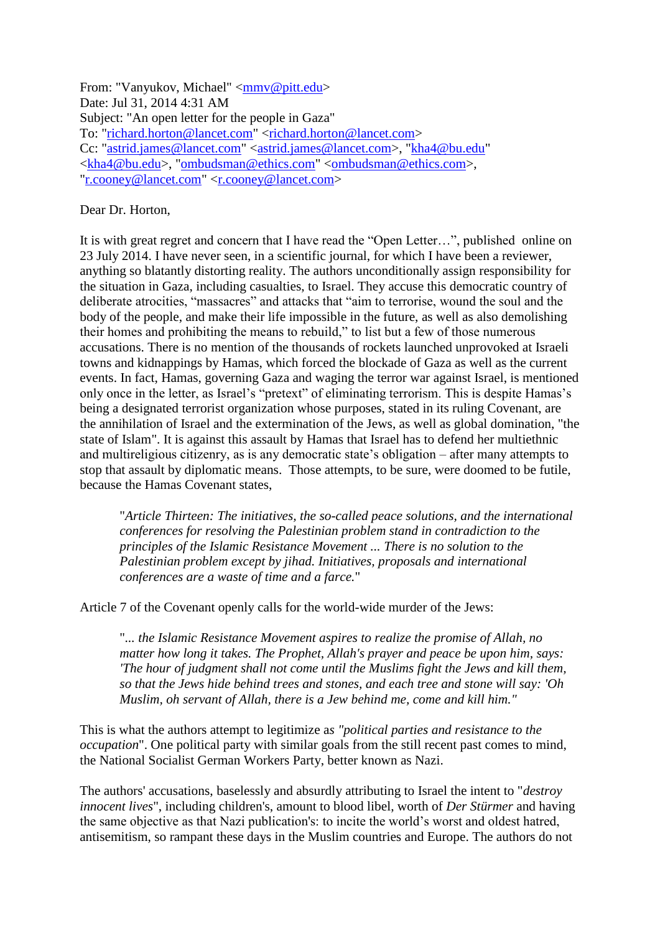From: "Vanyukov, Michael" [<mmv@pitt.edu>](mailto:mmv@pitt.edu) Date: Jul 31, 2014 4:31 AM Subject: "An open letter for the people in Gaza" To: ["richard.horton@lancet.com"](mailto:richard.horton@lancet.com) [<richard.horton@lancet.com>](mailto:richard.horton@lancet.com) Cc: ["astrid.james@lancet.com"](mailto:astrid.james@lancet.com) [<astrid.james@lancet.com>](mailto:astrid.james@lancet.com), ["kha4@bu.edu"](mailto:kha4@bu.edu) [<kha4@bu.edu>](mailto:kha4@bu.edu), ["ombudsman@ethics.com"](mailto:ombudsman@ethics.com) [<ombudsman@ethics.com>](mailto:ombudsman@ethics.com), ["r.cooney@lancet.com"](mailto:r.cooney@lancet.com) [<r.cooney@lancet.com>](mailto:r.cooney@lancet.com)

## Dear Dr. Horton,

It is with great regret and concern that I have read the "Open Letter…", published online on 23 July 2014. I have never seen, in a scientific journal, for which I have been a reviewer, anything so blatantly distorting reality. The authors unconditionally assign responsibility for the situation in Gaza, including casualties, to Israel. They accuse this democratic country of deliberate atrocities, "massacres" and attacks that "aim to terrorise, wound the soul and the body of the people, and make their life impossible in the future, as well as also demolishing their homes and prohibiting the means to rebuild," to list but a few of those numerous accusations. There is no mention of the thousands of rockets launched unprovoked at Israeli towns and kidnappings by Hamas, which forced the blockade of Gaza as well as the current events. In fact, Hamas, governing Gaza and waging the terror war against Israel, is mentioned only once in the letter, as Israel's "pretext" of eliminating terrorism. This is despite Hamas's being a designated terrorist organization whose purposes, stated in its ruling Covenant, are the annihilation of Israel and the extermination of the Jews, as well as global domination, "the state of Islam". It is against this assault by Hamas that Israel has to defend her multiethnic and multireligious citizenry, as is any democratic state's obligation – after many attempts to stop that assault by diplomatic means. Those attempts, to be sure, were doomed to be futile, because the Hamas Covenant states,

"*Article Thirteen: The initiatives, the so-called peace solutions, and the international conferences for resolving the Palestinian problem stand in contradiction to the principles of the Islamic Resistance Movement ... There is no solution to the Palestinian problem except by jihad. Initiatives, proposals and international conferences are a waste of time and a farce.*"

Article 7 of the Covenant openly calls for the world-wide murder of the Jews:

"*... the Islamic Resistance Movement aspires to realize the promise of Allah, no matter how long it takes. The Prophet, Allah's prayer and peace be upon him, says: 'The hour of judgment shall not come until the Muslims fight the Jews and kill them, so that the Jews hide behind trees and stones, and each tree and stone will say: 'Oh Muslim, oh servant of Allah, there is a Jew behind me, come and kill him."*

This is what the authors attempt to legitimize a*s "political parties and resistance to the occupation*". One political party with similar goals from the still recent past comes to mind, the National Socialist German Workers Party, better known as Nazi.

The authors' accusations, baselessly and absurdly attributing to Israel the intent to "*destroy innocent lives*", including children's, amount to blood libel, worth of *Der Stürmer* and having the same objective as that Nazi publication's: to incite the world's worst and oldest hatred, antisemitism, so rampant these days in the Muslim countries and Europe. The authors do not